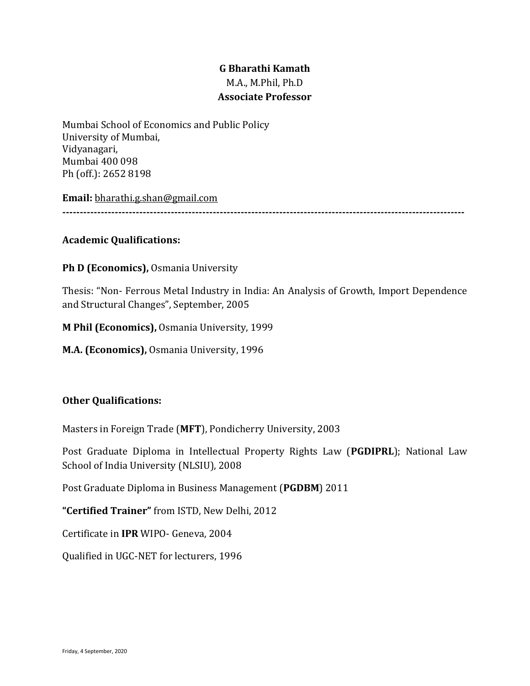# **G Bharathi Kamath** M.A., M.Phil, Ph.D **Associate Professor**

Mumbai School of Economics and Public Policy University of Mumbai, Vidyanagari, Mumbai 400 098 Ph (off.): 2652 8198

**Email:** [bharathi.g.shan@gmail.com](mailto:bharathi.g.shan@gmail.com)

**-------------------------------------------------------------------------------------------------------------------**

# **Academic Qualifications:**

# **Ph D (Economics),** Osmania University

Thesis: "Non- Ferrous Metal Industry in India: An Analysis of Growth, Import Dependence and Structural Changes", September, 2005

**M Phil (Economics),** Osmania University, 1999

**M.A. (Economics),** Osmania University, 1996

## **Other Qualifications:**

Masters in Foreign Trade (**MFT**), Pondicherry University, 2003

Post Graduate Diploma in Intellectual Property Rights Law (**PGDIPRL**); National Law School of India University (NLSIU), 2008

Post Graduate Diploma in Business Management (**PGDBM**) 2011

**"Certified Trainer"** from ISTD, New Delhi, 2012

Certificate in **IPR** WIPO- Geneva, 2004

Qualified in UGC-NET for lecturers, 1996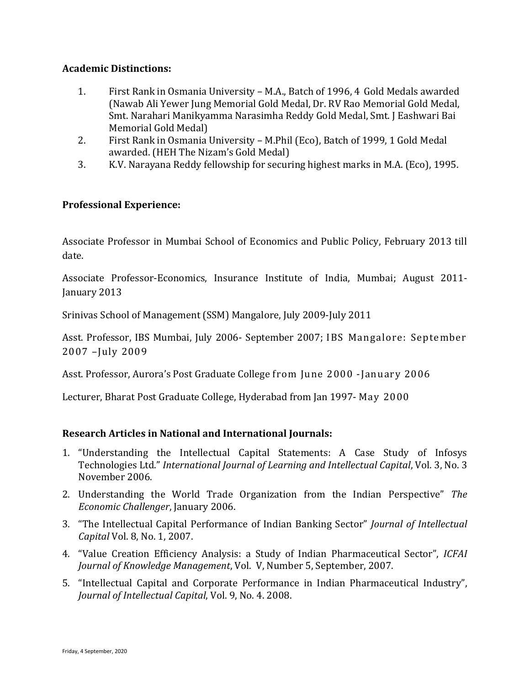### **Academic Distinctions:**

- 1. First Rank in Osmania University M.A., Batch of 1996, 4 Gold Medals awarded (Nawab Ali Yewer Jung Memorial Gold Medal, Dr. RV Rao Memorial Gold Medal, Smt. Narahari Manikyamma Narasimha Reddy Gold Medal, Smt. J Eashwari Bai Memorial Gold Medal)
- 2. First Rank in Osmania University M.Phil (Eco), Batch of 1999, 1 Gold Medal awarded. (HEH The Nizam's Gold Medal)
- 3. K.V. Narayana Reddy fellowship for securing highest marks in M.A. (Eco), 1995.

## **Professional Experience:**

Associate Professor in Mumbai School of Economics and Public Policy, February 2013 till date.

Associate Professor-Economics, Insurance Institute of India, Mumbai; August 2011- January 2013

Srinivas School of Management (SSM) Mangalore, July 2009-July 2011

Asst. Professor, IBS Mumbai, July 2006- September 2007; IBS Mangalore: September 2007 –July 2009

Asst. Professor, Aurora's Post Graduate College from June 2000 -January 2006

Lecturer, Bharat Post Graduate College, Hyderabad from Jan 1997- May 2000

## **Research Articles in National and International Journals:**

- 1. "Understanding the Intellectual Capital Statements: A Case Study of Infosys Technologies Ltd." *International Journal of Learning and Intellectual Capital*, Vol. 3, No. 3 November 2006.
- 2. Understanding the World Trade Organization from the Indian Perspective" *The Economic Challenger*, January 2006.
- 3. "The Intellectual Capital Performance of Indian Banking Sector" *Journal of Intellectual Capital* Vol. 8, No. 1, 2007.
- 4. "Value Creation Efficiency Analysis: a Study of Indian Pharmaceutical Sector", *ICFAI Journal of Knowledge Management*, Vol. V, Number 5, September, 2007.
- 5. "Intellectual Capital and Corporate Performance in Indian Pharmaceutical Industry", *Journal of Intellectual Capital*, Vol. 9, No. 4. 2008.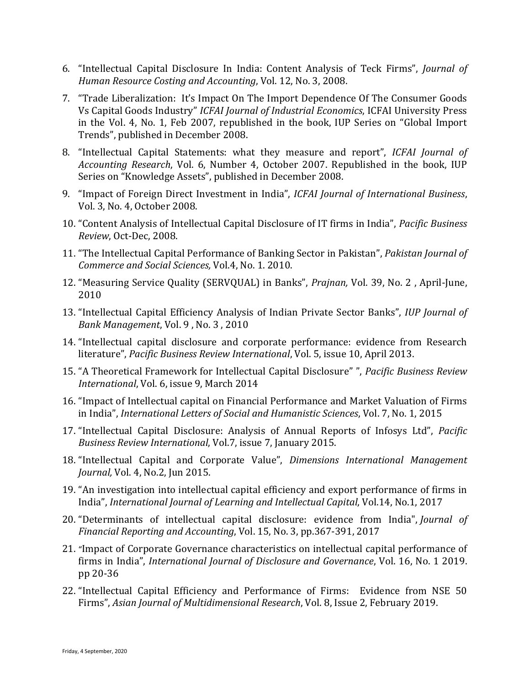- 6. "Intellectual Capital Disclosure In India: Content Analysis of Teck Firms", *Journal of Human Resource Costing and Accounting*, Vol. 12, No. 3, 2008.
- 7. "Trade Liberalization: It's Impact On The Import Dependence Of The Consumer Goods Vs Capital Goods Industry" *ICFAI Journal of Industrial Economics*, ICFAI University Press in the Vol. 4, No. 1, Feb 2007, republished in the book, IUP Series on "Global Import Trends", published in December 2008.
- 8. "Intellectual Capital Statements: what they measure and report", *ICFAI Journal of Accounting Research*, Vol. 6, Number 4, October 2007. Republished in the book, IUP Series on "Knowledge Assets", published in December 2008.
- 9. "Impact of Foreign Direct Investment in India", *ICFAI Journal of International Business*, Vol. 3, No. 4, October 2008.
- 10. "Content Analysis of Intellectual Capital Disclosure of IT firms in India", *Pacific Business Review*, Oct-Dec, 2008.
- 11. "The Intellectual Capital Performance of Banking Sector in Pakistan", *Pakistan Journal of Commerce and Social Sciences,* Vol.4, No. 1. 2010.
- 12. "Measuring Service Quality (SERVQUAL) in Banks", *Prajnan,* Vol. 39, No. 2 , April-June, 2010
- 13. "Intellectual Capital Efficiency Analysis of Indian Private Sector Banks", *IUP Journal of Bank Management*, Vol. 9 , No. 3 , 2010
- 14. "Intellectual capital disclosure and corporate performance: evidence from Research literature", *Pacific Business Review International*, Vol. 5, issue 10, April 2013.
- 15. "A Theoretical Framework for Intellectual Capital Disclosure" ", *Pacific Business Review International*, Vol. 6, issue 9, March 2014
- 16. "Impact of Intellectual capital on Financial Performance and Market Valuation of Firms in India", *International Letters of Social and Humanistic Sciences*, Vol. 7, No. 1, 2015
- 17. "Intellectual Capital Disclosure: Analysis of Annual Reports of Infosys Ltd", *Pacific Business Review International*, Vol.7, issue 7, January 2015.
- 18. "Intellectual Capital and Corporate Value", *Dimensions International Management Journal,* Vol. 4, No.2, Jun 2015.
- 19. "An investigation into intellectual capital efficiency and export performance of firms in India", *International Journal of Learning and Intellectual Capital*, Vol.14, No.1, 2017
- 20. "Determinants of intellectual capital disclosure: evidence from India", *Journal of Financial Reporting and Accounting*, Vol. 15, No. 3, pp.367-391, 2017
- 21. "Impact of Corporate Governance characteristics on intellectual capital performance of firms in India", *International Journal of Disclosure and Governance*, Vol. 16, No. 1 2019. pp 20-36
- 22. "Intellectual Capital Efficiency and Performance of Firms: Evidence from NSE 50 Firms", *Asian Journal of Multidimensional Research*, Vol. 8, Issue 2, February 2019.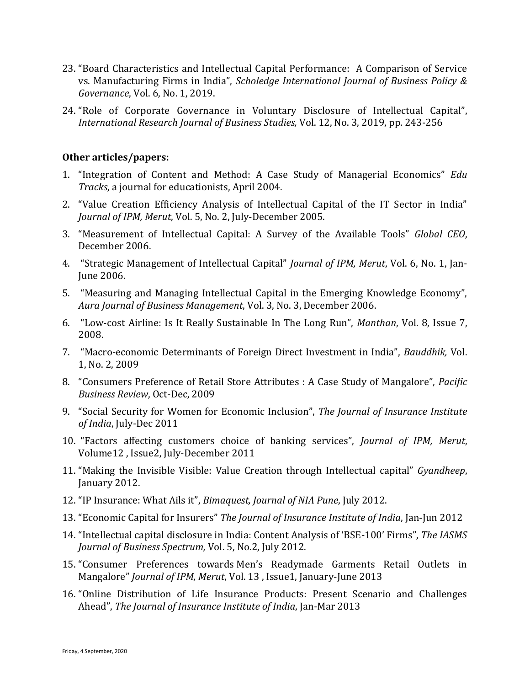- 23. "Board Characteristics and Intellectual Capital Performance: A Comparison of Service vs. Manufacturing Firms in India", *Scholedge International Journal of Business Policy & Governance*, Vol. 6, No. 1, 2019.
- 24. "Role of Corporate Governance in Voluntary Disclosure of Intellectual Capital", *International Research Journal of Business Studies,* Vol. 12, No. 3, 2019, pp. 243-256

#### **Other articles/papers:**

- 1. "Integration of Content and Method: A Case Study of Managerial Economics" *Edu Tracks*, a journal for educationists, April 2004.
- 2. "Value Creation Efficiency Analysis of Intellectual Capital of the IT Sector in India" *Journal of IPM, Merut*, Vol. 5, No. 2, July-December 2005.
- 3. "Measurement of Intellectual Capital: A Survey of the Available Tools" *Global CEO*, December 2006.
- 4. "Strategic Management of Intellectual Capital" *Journal of IPM, Merut*, Vol. 6, No. 1, Jan-June 2006.
- 5. "Measuring and Managing Intellectual Capital in the Emerging Knowledge Economy", *Aura Journal of Business Management*, Vol. 3, No. 3, December 2006.
- 6. "Low-cost Airline: Is It Really Sustainable In The Long Run", *Manthan*, Vol. 8, Issue 7, 2008.
- 7. "Macro-economic Determinants of Foreign Direct Investment in India", *Bauddhik,* Vol. 1, No. 2, 2009
- 8. "Consumers Preference of Retail Store Attributes : A Case Study of Mangalore", *Pacific Business Review*, Oct-Dec, 2009
- 9. "Social Security for Women for Economic Inclusion", *The Journal of Insurance Institute of India*, July-Dec 2011
- 10. "Factors affecting customers choice of banking services", *Journal of IPM, Merut*, Volume12 , Issue2, July-December 2011
- 11. "Making the Invisible Visible: Value Creation through Intellectual capital" *Gyandheep*, January 2012.
- 12. "IP Insurance: What Ails it", *Bimaquest, Journal of NIA Pune*, July 2012.
- 13. "Economic Capital for Insurers" *The Journal of Insurance Institute of India*, Jan-Jun 2012
- 14. "Intellectual capital disclosure in India: Content Analysis of 'BSE-100' Firms", *The IASMS Journal of Business Spectrum,* Vol. 5, No.2, July 2012.
- 15. "Consumer Preferences towards Men's Readymade Garments Retail Outlets in Mangalore" *Journal of IPM, Merut*, Vol. 13 , Issue1, January-June 2013
- 16. "Online Distribution of Life Insurance Products: Present Scenario and Challenges Ahead", *The Journal of Insurance Institute of India*, Jan-Mar 2013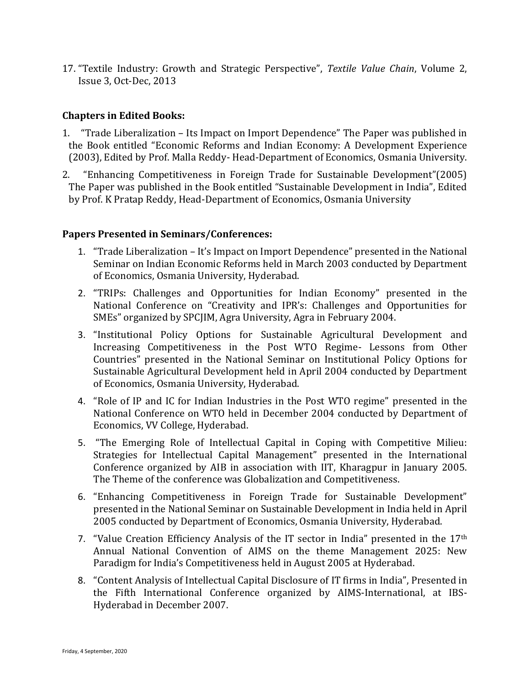17. "Textile Industry: Growth and Strategic Perspective", *Textile Value Chain*, Volume 2, Issue 3, Oct-Dec, 2013

#### **Chapters in Edited Books:**

- 1. "Trade Liberalization Its Impact on Import Dependence" The Paper was published in the Book entitled "Economic Reforms and Indian Economy: A Development Experience (2003), Edited by Prof. Malla Reddy- Head-Department of Economics, Osmania University.
- 2. "Enhancing Competitiveness in Foreign Trade for Sustainable Development"(2005) The Paper was published in the Book entitled "Sustainable Development in India", Edited by Prof. K Pratap Reddy, Head-Department of Economics, Osmania University

#### **Papers Presented in Seminars/Conferences:**

- 1. "Trade Liberalization It's Impact on Import Dependence" presented in the National Seminar on Indian Economic Reforms held in March 2003 conducted by Department of Economics, Osmania University, Hyderabad.
- 2. "TRIPs: Challenges and Opportunities for Indian Economy" presented in the National Conference on "Creativity and IPR's: Challenges and Opportunities for SMEs" organized by SPCJIM, Agra University, Agra in February 2004.
- 3. "Institutional Policy Options for Sustainable Agricultural Development and Increasing Competitiveness in the Post WTO Regime- Lessons from Other Countries" presented in the National Seminar on Institutional Policy Options for Sustainable Agricultural Development held in April 2004 conducted by Department of Economics, Osmania University, Hyderabad.
- 4. "Role of IP and IC for Indian Industries in the Post WTO regime" presented in the National Conference on WTO held in December 2004 conducted by Department of Economics, VV College, Hyderabad.
- 5. "The Emerging Role of Intellectual Capital in Coping with Competitive Milieu: Strategies for Intellectual Capital Management" presented in the International Conference organized by AIB in association with IIT, Kharagpur in January 2005. The Theme of the conference was Globalization and Competitiveness.
- 6. "Enhancing Competitiveness in Foreign Trade for Sustainable Development" presented in the National Seminar on Sustainable Development in India held in April 2005 conducted by Department of Economics, Osmania University, Hyderabad.
- 7. "Value Creation Efficiency Analysis of the IT sector in India" presented in the 17<sup>th</sup> Annual National Convention of AIMS on the theme Management 2025: New Paradigm for India's Competitiveness held in August 2005 at Hyderabad.
- 8. "Content Analysis of Intellectual Capital Disclosure of IT firms in India", Presented in the Fifth International Conference organized by AIMS-International, at IBS-Hyderabad in December 2007.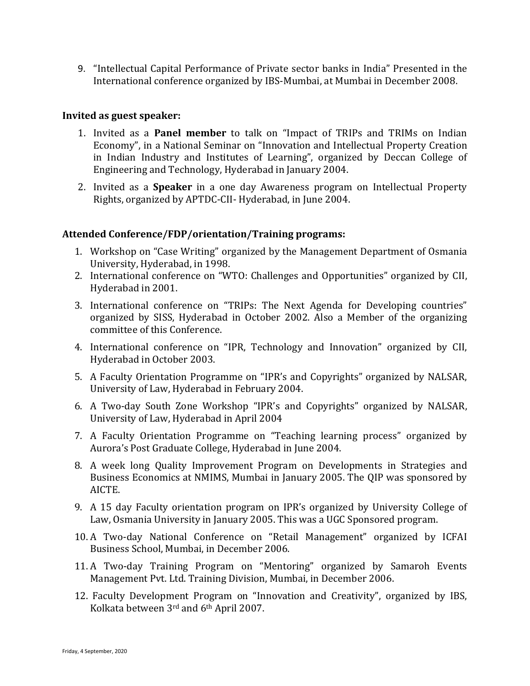9. "Intellectual Capital Performance of Private sector banks in India" Presented in the International conference organized by IBS-Mumbai, at Mumbai in December 2008.

#### **Invited as guest speaker:**

- 1. Invited as a **Panel member** to talk on "Impact of TRIPs and TRIMs on Indian Economy", in a National Seminar on "Innovation and Intellectual Property Creation in Indian Industry and Institutes of Learning", organized by Deccan College of Engineering and Technology, Hyderabad in January 2004.
- 2. Invited as a **Speaker** in a one day Awareness program on Intellectual Property Rights, organized by APTDC-CII- Hyderabad, in June 2004.

### **Attended Conference/FDP/orientation/Training programs:**

- 1. Workshop on "Case Writing" organized by the Management Department of Osmania University, Hyderabad, in 1998.
- 2. International conference on "WTO: Challenges and Opportunities" organized by CII, Hyderabad in 2001.
- 3. International conference on "TRIPs: The Next Agenda for Developing countries" organized by SISS, Hyderabad in October 2002. Also a Member of the organizing committee of this Conference.
- 4. International conference on "IPR, Technology and Innovation" organized by CII, Hyderabad in October 2003.
- 5. A Faculty Orientation Programme on "IPR's and Copyrights" organized by NALSAR, University of Law, Hyderabad in February 2004.
- 6. A Two-day South Zone Workshop "IPR's and Copyrights" organized by NALSAR, University of Law, Hyderabad in April 2004
- 7. A Faculty Orientation Programme on "Teaching learning process" organized by Aurora's Post Graduate College, Hyderabad in June 2004.
- 8. A week long Quality Improvement Program on Developments in Strategies and Business Economics at NMIMS, Mumbai in January 2005. The QIP was sponsored by AICTE.
- 9. A 15 day Faculty orientation program on IPR's organized by University College of Law, Osmania University in January 2005. This was a UGC Sponsored program.
- 10. A Two-day National Conference on "Retail Management" organized by ICFAI Business School, Mumbai, in December 2006.
- 11. A Two-day Training Program on "Mentoring" organized by Samaroh Events Management Pvt. Ltd. Training Division, Mumbai, in December 2006.
- 12. Faculty Development Program on "Innovation and Creativity", organized by IBS, Kolkata between 3rd and 6th April 2007.